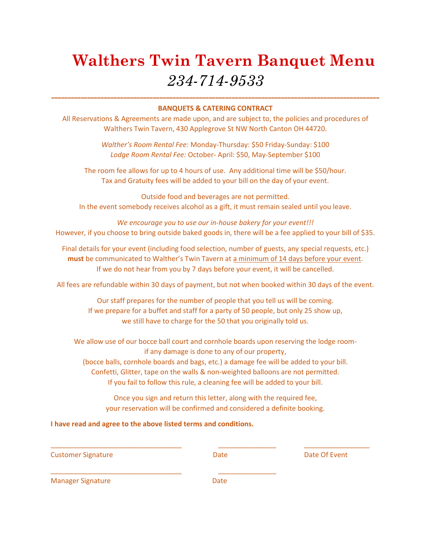# **Walthers Twin Tavern Banquet Menu** *234-714-9533*

### **---------------------------------------------------------------------------------------------------- BANQUETS & CATERING CONTRACT**

All Reservations & Agreements are made upon, and are subject to, the policies and procedures of Walthers Twin Tavern, 430 Applegrove St NW North Canton OH 44720.

> *Walther's Room Rental Fee:* Monday-Thursday: \$50 Friday-Sunday: \$100 *Lodge Room Rental Fee:* October- April: \$50, May-September \$100

The room fee allows for up to 4 hours of use. Any additional time will be \$50/hour. Tax and Gratuity fees will be added to your bill on the day of your event.

Outside food and beverages are not permitted. In the event somebody receives alcohol as a gift, it must remain sealed until you leave.

*We encourage you to use our in-house bakery for your event!!!* However, if you choose to bring outside baked goods in, there will be a fee applied to your bill of \$35.

Final details for your event (including food selection, number of guests, any special requests, etc.) **must** be communicated to Walther's Twin Tavern at a minimum of 14 days before your event. If we do not hear from you by 7 days before your event, it will be cancelled.

All fees are refundable within 30 days of payment, but not when booked within 30 days of the event.

Our staff prepares for the number of people that you tell us will be coming. If we prepare for a buffet and staff for a party of 50 people, but only 25 show up, we still have to charge for the 50 that you originally told us.

We allow use of our bocce ball court and cornhole boards upon reserving the lodge roomif any damage is done to any of our property, (bocce balls, cornhole boards and bags, etc.) a damage fee will be added to your bill. Confetti, Glitter, tape on the walls & non-weighted balloons are not permitted.

If you fail to follow this rule, a cleaning fee will be added to your bill.

Once you sign and return this letter, along with the required fee, your reservation will be confirmed and considered a definite booking.

\_\_\_\_\_\_\_\_\_\_\_\_\_\_\_\_\_\_\_\_\_\_\_\_\_\_\_\_\_\_\_\_\_\_ \_\_\_\_\_\_\_\_\_\_\_\_\_\_\_ \_\_\_\_\_\_\_\_\_\_\_\_\_\_\_\_\_

**I have read and agree to the above listed terms and conditions.**

\_\_\_\_\_\_\_\_\_\_\_\_\_\_\_\_\_\_\_\_\_\_\_\_\_\_\_\_\_\_\_\_\_\_ \_\_\_\_\_\_\_\_\_\_\_\_\_\_\_

Customer Signature Date Date Of Event

Manager Signature Date Date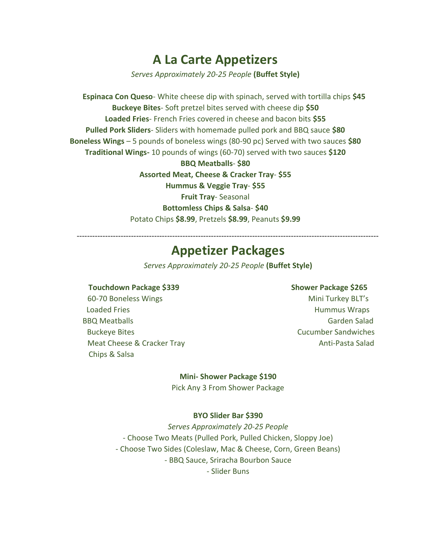### **A La Carte Appetizers**

*Serves Approximately 20-25 People* **(Buffet Style)**

 **Espinaca Con Queso**- White cheese dip with spinach, served with tortilla chips **\$45 Buckeye Bites**- Soft pretzel bites served with cheese dip **\$50 Loaded Fries**- French Fries covered in cheese and bacon bits **\$55 Pulled Pork Sliders**- Sliders with homemade pulled pork and BBQ sauce **\$80 Boneless Wings** – 5 pounds of boneless wings (80-90 pc) Served with two sauces **\$80 Traditional Wings-** 10 pounds of wings (60-70) served with two sauces **\$120**

> **BBQ Meatballs**- **\$80 Assorted Meat, Cheese & Cracker Tray**- **\$55 Hummus & Veggie Tray**- **\$55 Fruit Tray**- Seasonal **Bottomless Chips & Salsa**- **\$40** Potato Chips **\$8.99**, Pretzels **\$8.99**, Peanuts **\$9.99**

---------------------------------------------------------------------------------------------------------------------

### **Appetizer Packages**

*Serves Approximately 20-25 People* **(Buffet Style)**

#### **Touchdown Package \$339 Shower Package \$265**

60-70 Boneless Wings Management Controller Mini Turkey BLT's Loaded Fries **Hummus Wraps Hummus Wraps** BBQ Meatballs Garden Salad Garden Salad Garden Salad Garden Salad Garden Salad Garden Salad Garden Salad Garden Salad Garden Salad Garden Salad Garden Salad Garden Salad Garden Salad Garden Salad Garden Salad Garden Salad Buckeye Bites Cucumber Sandwiches Meat Cheese & Cracker Tray Anti-Pasta Salad Chips & Salsa

#### **Mini- Shower Package \$190**

Pick Any 3 From Shower Package

#### **BYO Slider Bar \$390**

*Serves Approximately 20-25 People* - Choose Two Meats (Pulled Pork, Pulled Chicken, Sloppy Joe) - Choose Two Sides (Coleslaw, Mac & Cheese, Corn, Green Beans) - BBQ Sauce, Sriracha Bourbon Sauce - Slider Buns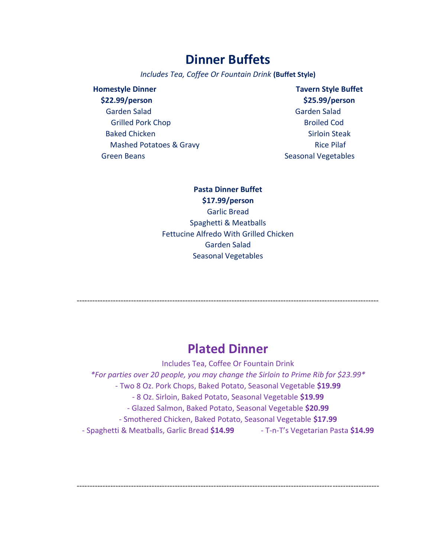### **Dinner Buffets**

*Includes Tea, Coffee Or Fountain Drink* **(Buffet Style)**

| <b>Homestyle Dinner</b>  | <b>Tavern Style B</b> |
|--------------------------|-----------------------|
| \$22.99/person           | \$25.99/pers          |
| Garden Salad             | <b>Garden Salad</b>   |
| <b>Grilled Pork Chop</b> | <b>Broiled Cod</b>    |
| <b>Baked Chicken</b>     | <b>Sirloin Stea</b>   |
| Mashed Potatoes & Gravy  | <b>Rice Pilaf</b>     |
| <b>Green Beans</b>       | Seasonal Vegetab      |

**Homestyle Dinner Tavern Style Buffet \$22.99/person \$25.99/person** Garden Salad **Broiled Cod Sirloin Steak** easonal Vegetables

**Pasta Dinner Buffet \$17.99/person** Garlic Bread Spaghetti & Meatballs Fettucine Alfredo With Grilled Chicken Garden Salad Seasonal Vegetables

### **Plated Dinner**

---------------------------------------------------------------------------------------------------------------------

Includes Tea, Coffee Or Fountain Drink *\*For parties over 20 people, you may change the Sirloin to Prime Rib for \$23.99\** - Two 8 Oz. Pork Chops, Baked Potato, Seasonal Vegetable **\$19.99** - 8 Oz. Sirloin, Baked Potato, Seasonal Vegetable **\$19.99** - Glazed Salmon, Baked Potato, Seasonal Vegetable **\$20.99** - Smothered Chicken, Baked Potato, Seasonal Vegetable **\$17.99** - Spaghetti & Meatballs, Garlic Bread **\$14.99** - T-n-T's Vegetarian Pasta **\$14.99**

---------------------------------------------------------------------------------------------------------------------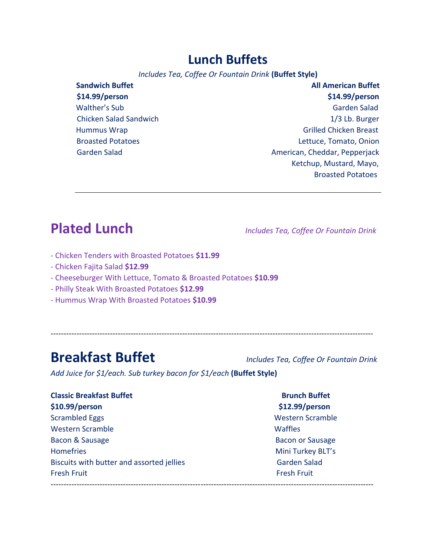### **Lunch Buffets**

*Includes Tea, Coffee Or Fountain Drink* **(Buffet Style)**

| <b>Sandwich Buffet</b>        | <b>All American Buffet</b>    |
|-------------------------------|-------------------------------|
| \$14.99/person                | \$14.99/person                |
| Walther's Sub                 | Garden Salad                  |
| <b>Chicken Salad Sandwich</b> | 1/3 Lb. Burger                |
| Hummus Wrap                   | <b>Grilled Chicken Breast</b> |
| <b>Broasted Potatoes</b>      | Lettuce, Tomato, Onion        |
| <b>Garden Salad</b>           | American, Cheddar, Pepperjack |
|                               | Ketchup, Mustard, Mayo,       |
|                               | <b>Broasted Potatoes</b>      |

# **Plated Lunch** *Includes Tea, Coffee Or Fountain Drink*

- Chicken Tenders with Broasted Potatoes **\$11.99**
- Chicken Fajita Salad **\$12.99**
- Cheeseburger With Lettuce, Tomato & Broasted Potatoes **\$10.99**
- Philly Steak With Broasted Potatoes **\$12.99**
- Hummus Wrap With Broasted Potatoes **\$10.99**

-----------------------------------------------------------------------------------------------------------------------------

## **Breakfast Buffet** *Includes Tea, Coffee Or Fountain Drink*

*Add Juice for \$1/each. Sub turkey bacon for \$1/each* **(Buffet Style)**

| <b>Classic Breakfast Buffet</b>           | <b>Brund</b> |
|-------------------------------------------|--------------|
| \$10.99/person                            | \$12.99      |
| <b>Scrambled Eggs</b>                     | Wester       |
| <b>Western Scramble</b>                   | Waffles      |
| Bacon & Sausage                           | Bacon o      |
| <b>Homefries</b>                          | Mini Tu      |
| Biscuits with butter and assorted jellies | Garder       |
| <b>Fresh Fruit</b>                        | Fresh F      |

**Brunch Buffet \$10.99/person \$12.99/person** Western Scramble **Bacon or Sausage** Mini Turkey BLT's Garden Salad Fresh Fruit

-----------------------------------------------------------------------------------------------------------------------------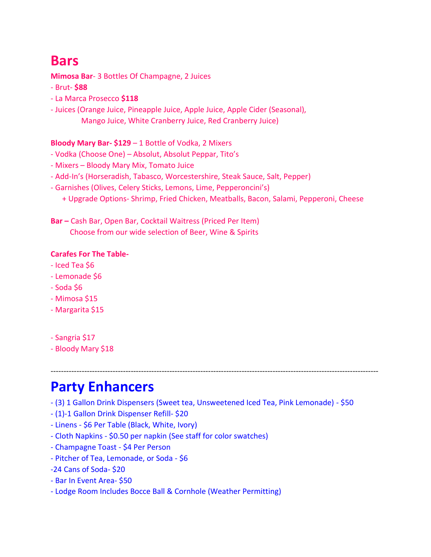# **Bars**

**Mimosa Bar**- 3 Bottles Of Champagne, 2 Juices

- Brut- **\$88**
- La Marca Prosecco **\$118**
- Juices (Orange Juice, Pineapple Juice, Apple Juice, Apple Cider (Seasonal), Mango Juice, White Cranberry Juice, Red Cranberry Juice)

### **Bloody Mary Bar- \$129** – 1 Bottle of Vodka, 2 Mixers

- Vodka (Choose One) Absolut, Absolut Peppar, Tito's
- Mixers Bloody Mary Mix, Tomato Juice
- Add-In's (Horseradish, Tabasco, Worcestershire, Steak Sauce, Salt, Pepper)
- Garnishes (Olives, Celery Sticks, Lemons, Lime, Pepperoncini's)
	- + Upgrade Options- Shrimp, Fried Chicken, Meatballs, Bacon, Salami, Pepperoni, Cheese

**Bar –** Cash Bar, Open Bar, Cocktail Waitress (Priced Per Item) Choose from our wide selection of Beer, Wine & Spirits

### **Carafes For The Table-**

- Iced Tea \$6
- Lemonade \$6
- $-$  Soda  $$6$
- Mimosa \$15
- Margarita \$15
- Sangria \$17
- Bloody Mary \$18

-------------------------------------------------------------------------------------------------------------------------------

## **Party Enhancers**

- (3) 1 Gallon Drink Dispensers (Sweet tea, Unsweetened Iced Tea, Pink Lemonade) \$50
- (1)-1 Gallon Drink Dispenser Refill- \$20
- Linens \$6 Per Table (Black, White, Ivory)
- Cloth Napkins \$0.50 per napkin (See staff for color swatches)
- Champagne Toast \$4 Per Person
- Pitcher of Tea, Lemonade, or Soda \$6
- -24 Cans of Soda- \$20
- Bar In Event Area- \$50
- Lodge Room Includes Bocce Ball & Cornhole (Weather Permitting)